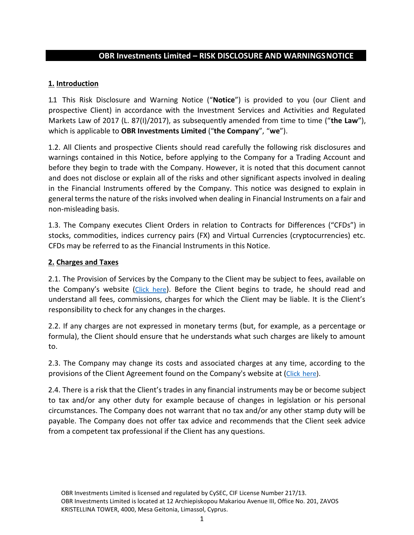## **OBR Investments Limited – RISK DISCLOSURE AND WARNINGSNOTICE**

### **1. Introduction**

1.1 This Risk Disclosure and Warning Notice ("**Notice**") is provided to you (our Client and prospective Client) in accordance with the Investment Services and Activities and Regulated Markets Law of 2017 (L. 87(I)/2017), as subsequently amended from time to time ("the Law"), which is applicable to **OBR Investments Limited** ("**the Company**", "**we**").

1.2. All Clients and prospective Clients should read carefully the following risk disclosures and warnings contained in this Notice, before applying to the Company for a Trading Account and before they begin to trade with the Company. However, it is noted that this document cannot and does not disclose or explain all of the risks and other significant aspects involved in dealing in the Financial Instruments offered by the Company. This notice was designed to explain in general terms the nature of the risks involved when dealing in Financial Instruments on a fair and non-misleading basis.

1.3. The Company executes Client Orders in relation to Contracts for Differences ("CFDs") in stocks, commodities, indices currency pairs (FX) and Virtual Currencies (cryptocurrencies) etc. CFDs may be referred to as the Financial Instruments in this Notice.

#### **2. Charges and Taxes**

2.1. The Provision of Services by the Company to the Client may be subject to fees, available on the Company's website ([Click](https://www.obrinvest.com/eu/terms-and-conditions/general-fees/) here). Before the Client begins to trade, he should read and understand all fees, commissions, charges for which the Client may be liable. It is the Client's responsibility to check for any changes in the charges.

2.2. If any charges are not expressed in monetary terms (but, for example, as a percentage or formula), the Client should ensure that he understands what such charges are likely to amount to.

2.3. The Company may change its costs and associated charges at any time, according to the provisions of the Client Agreement found on the Company's website at (Click [here\)](https://www.obrinvest.com/eu/terms-and-conditions/).

2.4. There is a risk that the Client's trades in any financial instruments may be or become subject to tax and/or any other duty for example because of changes in legislation or his personal circumstances. The Company does not warrant that no tax and/or any other stamp duty will be payable. The Company does not offer tax advice and recommends that the Client seek advice from a competent tax professional if the Client has any questions.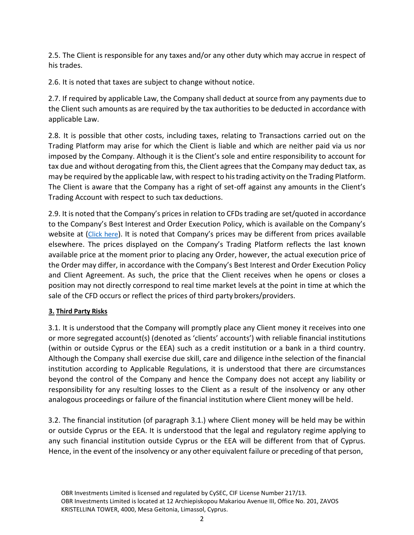2.5. The Client is responsible for any taxes and/or any other duty which may accrue in respect of his trades.

2.6. It is noted that taxes are subject to change without notice.

2.7. If required by applicable Law, the Company shall deduct at source from any payments due to the Client such amounts as are required by the tax authorities to be deducted in accordance with applicable Law.

2.8. It is possible that other costs, including taxes, relating to Transactions carried out on the Trading Platform may arise for which the Client is liable and which are neither paid via us nor imposed by the Company. Although it is the Client's sole and entire responsibility to account for tax due and without derogating from this, the Client agrees that the Company may deduct tax, as may be required by the applicable law, with respect to histrading activity on the Trading Platform. The Client is aware that the Company has a right of set-off against any amounts in the Client's Trading Account with respect to such tax deductions.

2.9. It is noted that the Company's prices in relation to CFDs trading are set/quoted in accordance to the Company's Best Interest and Order Execution Policy, which is available on the Company's website at ([Click here](https://www.obrinvest.com/eu/terms-and-conditions/bestinterest-and-orderexecution-policy/)). It is noted that Company's prices may be different from prices available elsewhere. The prices displayed on the Company's Trading Platform reflects the last known available price at the moment prior to placing any Order, however, the actual execution price of the Order may differ, in accordance with the Company's Best Interest and Order Execution Policy and Client Agreement. As such, the price that the Client receives when he opens or closes a position may not directly correspond to real time market levels at the point in time at which the sale of the CFD occurs or reflect the prices of third party brokers/providers.

#### **3. Third Party Risks**

3.1. It is understood that the Company will promptly place any Client money it receives into one or more segregated account(s) (denoted as 'clients' accounts') with reliable financial institutions (within or outside Cyprus or the EEA) such as a credit institution or a bank in a third country. Although the Company shall exercise due skill, care and diligence inthe selection of the financial institution according to Applicable Regulations, it is understood that there are circumstances beyond the control of the Company and hence the Company does not accept any liability or responsibility for any resulting losses to the Client as a result of the insolvency or any other analogous proceedings or failure of the financial institution where Client money will be held.

3.2. The financial institution (of paragraph 3.1.) where Client money will be held may be within or outside Cyprus or the EEA. It is understood that the legal and regulatory regime applying to any such financial institution outside Cyprus or the EEA will be different from that of Cyprus. Hence, in the event of the insolvency or any other equivalent failure or preceding of that person,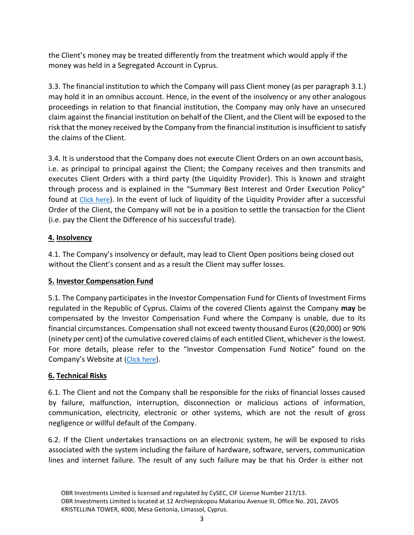the Client's money may be treated differently from the treatment which would apply if the money was held in a Segregated Account in Cyprus.

3.3. The financial institution to which the Company will pass Client money (as per paragraph 3.1.) may hold it in an omnibus account. Hence, in the event of the insolvency or any other analogous proceedings in relation to that financial institution, the Company may only have an unsecured claim against the financial institution on behalf of the Client, and the Client will be exposed to the risk that the money received by the Company from the financial institution is insufficient to satisfy the claims of the Client.

3.4. It is understood that the Company does not execute Client Orders on an own account basis, i.e. as principal to principal against the Client; the Company receives and then transmits and executes Client Orders with a third party (the Liquidity Provider). This is known and straight through process and is explained in the "Summary Best Interest and Order Execution Policy" found at [Click here](https://www.obrinvest.com/eu/terms-and-conditions/bestinterest-and-orderexecution-policy/)). In the event of luck of liquidity of the Liquidity Provider after a successful Order of the Client, the Company will not be in a position to settle the transaction for the Client (i.e. pay the Client the Difference of his successful trade).

## **4. Insolvency**

4.1. The Company's insolvency or default, may lead to Client Open positions being closed out without the Client's consent and as a result the Client may suffer losses.

#### **5. Investor Compensation Fund**

5.1. The Company participates in the Investor Compensation Fund for Clients of Investment Firms regulated in the Republic of Cyprus. Claims of the covered Clients against the Company **may** be compensated by the Investor Compensation Fund where the Company is unable, due to its financial circumstances. Compensation shall not exceed twenty thousand Euros(€20,000) or 90% (ninety per cent) of the cumulative covered claims of each entitled Client, whichever isthe lowest. For more details, please refer to the "Investor Compensation Fund Notice" found on the Company's Website at [\(Click](https://www.obrinvest.com/eu/terms-and-conditions/investor-compensation-fund/) here).

## **6. Technical Risks**

6.1. The Client and not the Company shall be responsible for the risks of financial losses caused by failure, malfunction, interruption, disconnection or malicious actions of information, communication, electricity, electronic or other systems, which are not the result of gross negligence or willful default of the Company.

6.2. If the Client undertakes transactions on an electronic system, he will be exposed to risks associated with the system including the failure of hardware, software, servers, communication lines and internet failure. The result of any such failure may be that his Order is either not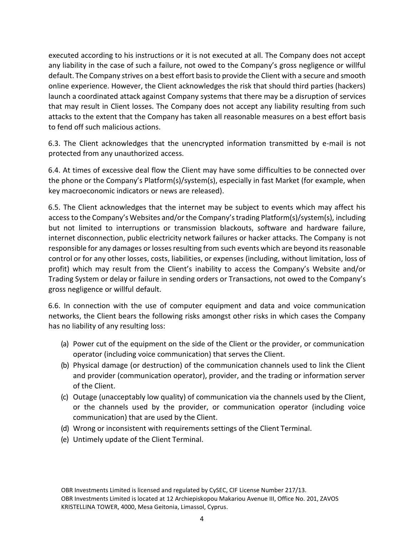executed according to his instructions or it is not executed at all. The Company does not accept any liability in the case of such a failure, not owed to the Company's gross negligence or willful default. The Company strives on a best effort basisto provide the Client with a secure and smooth online experience. However, the Client acknowledges the risk that should third parties (hackers) launch a coordinated attack against Company systems that there may be a disruption of services that may result in Client losses. The Company does not accept any liability resulting from such attacks to the extent that the Company has taken all reasonable measures on a best effort basis to fend off such malicious actions.

6.3. The Client acknowledges that the unencrypted information transmitted by e-mail is not protected from any unauthorized access.

6.4. At times of excessive deal flow the Client may have some difficulties to be connected over the phone or the Company's Platform(s)/system(s), especially in fast Market (for example, when key macroeconomic indicators or news are released).

6.5. The Client acknowledges that the internet may be subject to events which may affect his access to the Company's Websites and/or the Company'strading Platform(s)/system(s), including but not limited to interruptions or transmission blackouts, software and hardware failure, internet disconnection, public electricity network failures or hacker attacks. The Company is not responsible for any damages or losses resulting from such events which are beyond its reasonable control or for any other losses, costs, liabilities, or expenses (including, without limitation, loss of profit) which may result from the Client's inability to access the Company's Website and/or Trading System or delay or failure in sending orders or Transactions, not owed to the Company's gross negligence or willful default.

6.6. In connection with the use of computer equipment and data and voice communication networks, the Client bears the following risks amongst other risks in which cases the Company has no liability of any resulting loss:

- (a) Power cut of the equipment on the side of the Client or the provider, or communication operator (including voice communication) that serves the Client.
- (b) Physical damage (or destruction) of the communication channels used to link the Client and provider (communication operator), provider, and the trading or information server of the Client.
- (c) Outage (unacceptably low quality) of communication via the channels used by the Client, or the channels used by the provider, or communication operator (including voice communication) that are used by the Client.
- (d) Wrong or inconsistent with requirements settings of the Client Terminal.
- (e) Untimely update of the Client Terminal.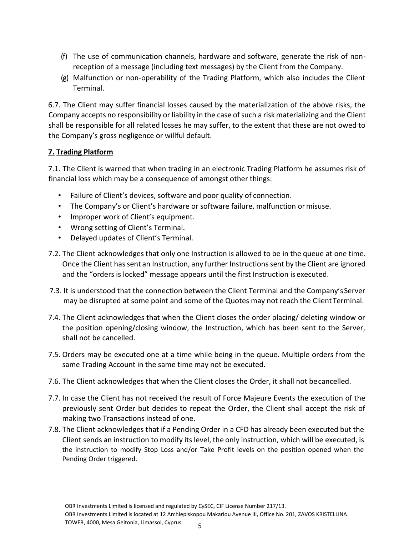- (f) The use of communication channels, hardware and software, generate the risk of nonreception of a message (including text messages) by the Client from the Company.
- (g) Malfunction or non-operability of the Trading Platform, which also includes the Client Terminal.

6.7. The Client may suffer financial losses caused by the materialization of the above risks, the Company accepts no responsibility or liability in the case of such a risk materializing and the Client shall be responsible for all related losses he may suffer, to the extent that these are not owed to the Company's gross negligence or willful default.

## **7. Trading Platform**

7.1. The Client is warned that when trading in an electronic Trading Platform he assumes risk of financial loss which may be a consequence of amongst other things:

- Failure of Client's devices, software and poor quality of connection.
- The Company's or Client's hardware or software failure, malfunction ormisuse.
- Improper work of Client's equipment.
- Wrong setting of Client's Terminal.
- Delayed updates of Client's Terminal.
- 7.2. The Client acknowledges that only one Instruction is allowed to be in the queue at one time. Once the Client has sent an Instruction, any further Instructions sent by the Client are ignored and the "orders is locked" message appears until the first Instruction is executed.
- 7.3. It is understood that the connection between the Client Terminal and the Company'sServer may be disrupted at some point and some of the Quotes may not reach the ClientTerminal.
- 7.4. The Client acknowledges that when the Client closes the order placing/ deleting window or the position opening/closing window, the Instruction, which has been sent to the Server, shall not be cancelled.
- 7.5. Orders may be executed one at a time while being in the queue. Multiple orders from the same Trading Account in the same time may not be executed.
- 7.6. The Client acknowledges that when the Client closes the Order, it shall not becancelled.
- 7.7. In case the Client has not received the result of Force Majeure Events the execution of the previously sent Order but decides to repeat the Order, the Client shall accept the risk of making two Transactions instead of one.
- 7.8. The Client acknowledges that if a Pending Order in a CFD has already been executed but the Client sends an instruction to modify its level, the only instruction, which will be executed, is the instruction to modify Stop Loss and/or Take Profit levels on the position opened when the Pending Order triggered.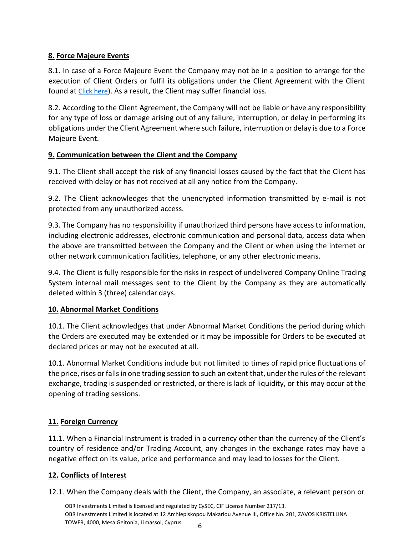# **8. Force Majeure Events**

8.1. In case of a Force Majeure Event the Company may not be in a position to arrange for the execution of Client Orders or fulfil its obligations under the Client Agreement with the Client found at [Click here](https://www.obrinvest.com/eu/terms-and-conditions/)). As a result, the Client may suffer financial loss.

8.2. According to the Client Agreement, the Company will not be liable or have any responsibility for any type of loss or damage arising out of any failure, interruption, or delay in performing its obligations under the Client Agreement where such failure, interruption or delay is due to a Force Majeure Event.

# **9. Communication between the Client and the Company**

9.1. The Client shall accept the risk of any financial losses caused by the fact that the Client has received with delay or has not received at all any notice from the Company.

9.2. The Client acknowledges that the unencrypted information transmitted by e-mail is not protected from any unauthorized access.

9.3. The Company has no responsibility if unauthorized third persons have access to information, including electronic addresses, electronic communication and personal data, access data when the above are transmitted between the Company and the Client or when using the internet or other network communication facilities, telephone, or any other electronic means.

9.4. The Client is fully responsible for the risks in respect of undelivered Company Online Trading System internal mail messages sent to the Client by the Company as they are automatically deleted within 3 (three) calendar days.

# **10. Abnormal Market Conditions**

10.1. The Client acknowledges that under Abnormal Market Conditions the period during which the Orders are executed may be extended or it may be impossible for Orders to be executed at declared prices or may not be executed at all.

10.1. Abnormal Market Conditions include but not limited to times of rapid price fluctuations of the price, rises or falls in one trading session to such an extent that, under the rules of the relevant exchange, trading is suspended or restricted, or there is lack of liquidity, or this may occur at the opening of trading sessions.

# **11. Foreign Currency**

11.1. When a Financial Instrument is traded in a currency other than the currency of the Client's country of residence and/or Trading Account, any changes in the exchange rates may have a negative effect on its value, price and performance and may lead to losses for the Client.

# **12. Conflicts of Interest**

12.1. When the Company deals with the Client, the Company, an associate, a relevant person or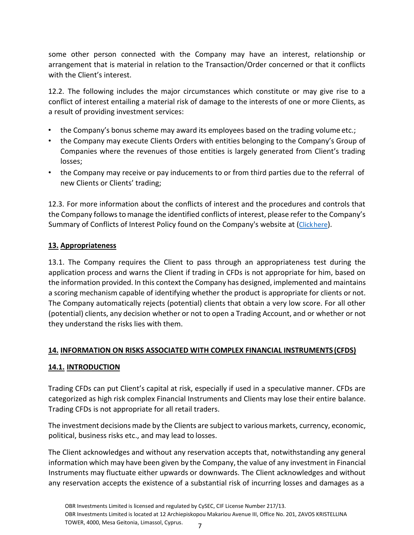some other person connected with the Company may have an interest, relationship or arrangement that is material in relation to the Transaction/Order concerned or that it conflicts with the Client's interest.

12.2. The following includes the major circumstances which constitute or may give rise to a conflict of interest entailing a material risk of damage to the interests of one or more Clients, as a result of providing investment services:

- the Company's bonus scheme may award its employees based on the trading volume etc.;
- the Company may execute Clients Orders with entities belonging to the Company's Group of Companies where the revenues of those entities is largely generated from Client's trading losses;
- the Company may receive or pay inducements to or from third parties due to the referral of new Clients or Clients' trading;

12.3. For more information about the conflicts of interest and the procedures and controls that the Company follows tomanage the identified conflicts of interest, please refer to the Company's Summary of Conflicts of Interest Policy found on the Company's website at ([Clickhere](https://www.obrinvest.com/eu/terms-and-conditions/conflicts-of-interest-policy/)).

## **13. Appropriateness**

13.1. The Company requires the Client to pass through an appropriateness test during the application process and warns the Client if trading in CFDs is not appropriate for him, based on the information provided. In this context the Company has designed, implemented and maintains a scoring mechanism capable of identifying whether the product is appropriate for clients or not. The Company automatically rejects (potential) clients that obtain a very low score. For all other (potential) clients, any decision whether or not to open a Trading Account, and or whether or not they understand the risks lies with them.

## **14. INFORMATION ON RISKS ASSOCIATED WITH COMPLEX FINANCIAL INSTRUMENTS (CFDS)**

## **14.1. INTRODUCTION**

Trading CFDs can put Client's capital at risk, especially if used in a speculative manner. CFDs are categorized as high risk complex Financial Instruments and Clients may lose their entire balance. Trading CFDs is not appropriate for all retail traders.

The investment decisions made by the Clients are subject to various markets, currency, economic, political, business risks etc., and may lead to losses.

The Client acknowledges and without any reservation accepts that, notwithstanding any general information which may have been given by the Company, the value of any investment in Financial Instruments may fluctuate either upwards or downwards. The Client acknowledges and without any reservation accepts the existence of a substantial risk of incurring losses and damages as a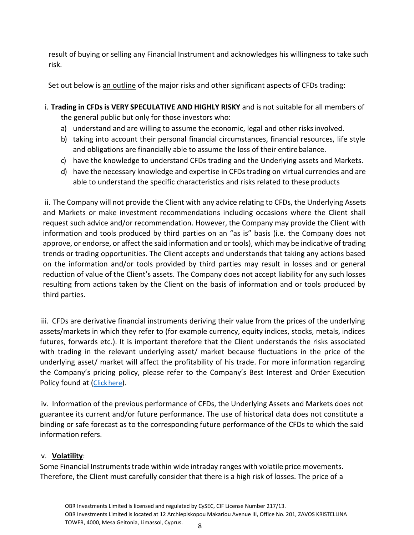result of buying or selling any Financial Instrument and acknowledges his willingness to take such risk.

Set out below is an outline of the major risks and other significant aspects of CFDs trading:

- i. **Trading in CFDs is VERY SPECULATIVE AND HIGHLY RISKY** and is not suitable for all members of the general public but only for those investors who:
	- a) understand and are willing to assume the economic, legal and other risksinvolved.
	- b) taking into account their personal financial circumstances, financial resources, life style and obligations are financially able to assume the loss of their entirebalance.
	- c) have the knowledge to understand CFDs trading and the Underlying assets and Markets.
	- d) have the necessary knowledge and expertise in CFDs trading on virtual currencies and are able to understand the specific characteristics and risks related to these products

ii. The Company will not provide the Client with any advice relating to CFDs, the Underlying Assets and Markets or make investment recommendations including occasions where the Client shall request such advice and/or recommendation. However, the Company may provide the Client with information and tools produced by third parties on an "as is" basis (i.e. the Company does not approve, or endorse, or affect the said information and or tools), which may be indicative of trading trends or trading opportunities. The Client accepts and understands that taking any actions based on the information and/or tools provided by third parties may result in losses and or general reduction of value of the Client's assets. The Company does not accept liability for any such losses resulting from actions taken by the Client on the basis of information and or tools produced by third parties.

iii. CFDs are derivative financial instruments deriving their value from the prices of the underlying assets/markets in which they refer to (for example currency, equity indices, stocks, metals, indices futures, forwards etc.). It is important therefore that the Client understands the risks associated with trading in the relevant underlying asset/ market because fluctuations in the price of the underlying asset/ market will affect the profitability of his trade. For more information regarding the Company's pricing policy, please refer to the Company's Best Interest and Order Execution Policy found at ([Click](https://www.obrinvest.com/eu/terms-and-conditions/bestinterest-and-orderexecution-policy/) here).

iv. Information of the previous performance of CFDs, the Underlying Assets and Markets does not guarantee its current and/or future performance. The use of historical data does not constitute a binding or safe forecast as to the corresponding future performance of the CFDs to which the said information refers.

## v. **Volatility**:

Some Financial Instruments trade within wide intraday ranges with volatile price movements. Therefore, the Client must carefully consider that there is a high risk of losses. The price of a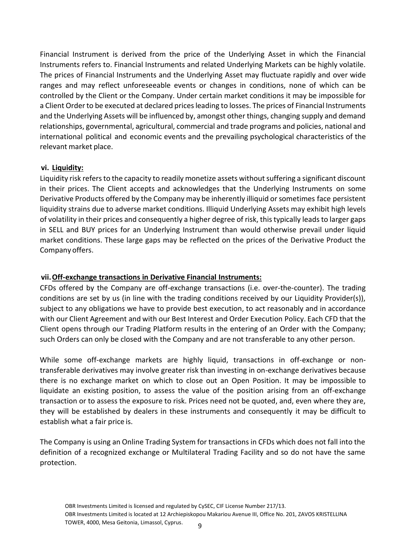Financial Instrument is derived from the price of the Underlying Asset in which the Financial Instruments refers to. Financial Instruments and related Underlying Markets can be highly volatile. The prices of Financial Instruments and the Underlying Asset may fluctuate rapidly and over wide ranges and may reflect unforeseeable events or changes in conditions, none of which can be controlled by the Client or the Company. Under certain market conditions it may be impossible for a Client Order to be executed at declared prices leading to losses. The prices of Financial Instruments and the Underlying Assets will be influenced by, amongst other things, changing supply and demand relationships, governmental, agricultural, commercial and trade programs and policies, national and international political and economic events and the prevailing psychological characteristics of the relevant market place.

#### **vi. Liquidity:**

Liquidity risk refers to the capacity to readily monetize assets without suffering a significant discount in their prices. The Client accepts and acknowledges that the Underlying Instruments on some Derivative Products offered by the Company may be inherently illiquid or sometimes face persistent liquidity strains due to adverse market conditions. Illiquid Underlying Assets may exhibit high levels of volatility in their prices and consequently a higher degree of risk, this typically leads to larger gaps in SELL and BUY prices for an Underlying Instrument than would otherwise prevail under liquid market conditions. These large gaps may be reflected on the prices of the Derivative Product the Company offers.

#### **vii.Off-exchange transactions in Derivative Financial Instruments:**

CFDs offered by the Company are off-exchange transactions (i.e. over-the-counter). The trading conditions are set by us (in line with the trading conditions received by our Liquidity Provider(s)), subject to any obligations we have to provide best execution, to act reasonably and in accordance with our Client Agreement and with our Best Interest and Order Execution Policy. Each CFD that the Client opens through our Trading Platform results in the entering of an Order with the Company; such Orders can only be closed with the Company and are not transferable to any other person.

While some off-exchange markets are highly liquid, transactions in off-exchange or nontransferable derivatives may involve greater risk than investing in on-exchange derivatives because there is no exchange market on which to close out an Open Position. It may be impossible to liquidate an existing position, to assess the value of the position arising from an off-exchange transaction or to assess the exposure to risk. Prices need not be quoted, and, even where they are, they will be established by dealers in these instruments and consequently it may be difficult to establish what a fair price is.

The Company is using an Online Trading System for transactions in CFDs which does not fall into the definition of a recognized exchange or Multilateral Trading Facility and so do not have the same protection.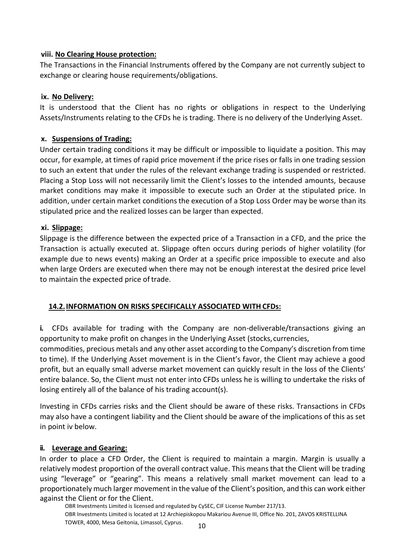### **viii. No Clearing House protection:**

The Transactions in the Financial Instruments offered by the Company are not currently subject to exchange or clearing house requirements/obligations.

### **ix. No Delivery:**

It is understood that the Client has no rights or obligations in respect to the Underlying Assets/Instruments relating to the CFDs he is trading. There is no delivery of the Underlying Asset.

## **x. Suspensions of Trading:**

Under certain trading conditions it may be difficult or impossible to liquidate a position. This may occur, for example, at times of rapid price movement if the price rises or falls in one trading session to such an extent that under the rules of the relevant exchange trading is suspended or restricted. Placing a Stop Loss will not necessarily limit the Client's losses to the intended amounts, because market conditions may make it impossible to execute such an Order at the stipulated price. In addition, under certain market conditions the execution of a Stop Loss Order may be worse than its stipulated price and the realized losses can be larger than expected.

### **xi. Slippage:**

Slippage is the difference between the expected price of a Transaction in a CFD, and the price the Transaction is actually executed at. Slippage often occurs during periods of higher volatility (for example due to news events) making an Order at a specific price impossible to execute and also when large Orders are executed when there may not be enough interestat the desired price level to maintain the expected price of trade.

## **14.2.INFORMATION ON RISKS SPECIFICALLY ASSOCIATED WITH CFDs:**

**i.** CFDs available for trading with the Company are non-deliverable/transactions giving an opportunity to make profit on changes in the Underlying Asset (stocks,currencies,

commodities, precious metals and any other asset according to the Company's discretion from time to time). If the Underlying Asset movement is in the Client's favor, the Client may achieve a good profit, but an equally small adverse market movement can quickly result in the loss of the Clients' entire balance. So, the Client must not enter into CFDs unless he is willing to undertake the risks of losing entirely all of the balance of his trading account(s).

Investing in CFDs carries risks and the Client should be aware of these risks. Transactions in CFDs may also have a contingent liability and the Client should be aware of the implications of this as set in point iv below.

## **ii. Leverage and Gearing:**

In order to place a CFD Order, the Client is required to maintain a margin. Margin is usually a relatively modest proportion of the overall contract value. This means that the Client will be trading using "leverage" or "gearing". This means a relatively small market movement can lead to a proportionately much larger movement in the value of the Client's position, and this can work either against the Client or for the Client.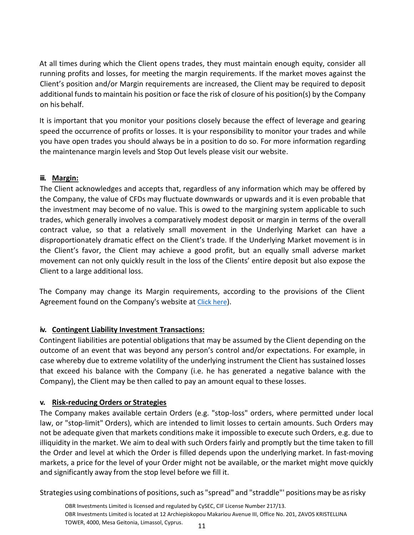At all times during which the Client opens trades, they must maintain enough equity, consider all running profits and losses, for meeting the margin requirements. If the market moves against the Client's position and/or Margin requirements are increased, the Client may be required to deposit additional funds to maintain his position or face the risk of closure of his position(s) by the Company on his behalf.

It is important that you monitor your positions closely because the effect of leverage and gearing speed the occurrence of profits or losses. It is your responsibility to monitor your trades and while you have open trades you should always be in a position to do so. For more information regarding the maintenance margin levels and Stop Out levels please visit our website.

# **iii. Margin:**

The Client acknowledges and accepts that, regardless of any information which may be offered by the Company, the value of CFDs may fluctuate downwards or upwards and it is even probable that the investment may become of no value. This is owed to the margining system applicable to such trades, which generally involves a comparatively modest deposit or margin in terms of the overall contract value, so that a relatively small movement in the Underlying Market can have a disproportionately dramatic effect on the Client's trade. If the Underlying Market movement is in the Client's favor, the Client may achieve a good profit, but an equally small adverse market movement can not only quickly result in the loss of the Clients' entire deposit but also expose the Client to a large additional loss.

The Company may change its Margin requirements, according to the provisions of the Client Agreement found on the Company's website at [Click here](https://www.obrinvest.com/eu/terms-and-conditions/)).

# **iv. Contingent Liability Investment Transactions:**

Contingent liabilities are potential obligations that may be assumed by the Client depending on the outcome of an event that was beyond any person's control and/or expectations. For example, in case whereby due to extreme volatility of the underlying instrument the Client has sustained losses that exceed his balance with the Company (i.e. he has generated a negative balance with the Company), the Client may be then called to pay an amount equal to these losses.

## **v. Risk-reducing Orders or Strategies**

The Company makes available certain Orders (e.g. "stop-loss" orders, where permitted under local law, or "stop-limit" Orders), which are intended to limit losses to certain amounts. Such Orders may not be adequate given that markets conditions make it impossible to execute such Orders, e.g. due to illiquidity in the market. We aim to deal with such Orders fairly and promptly but the time taken to fill the Order and level at which the Order is filled depends upon the underlying market. In fast-moving markets, a price for the level of your Order might not be available, or the market might move quickly and significantly away from the stop level before we fill it.

Strategies using combinations of positions, such as "spread" and "straddle"' positions may be as risky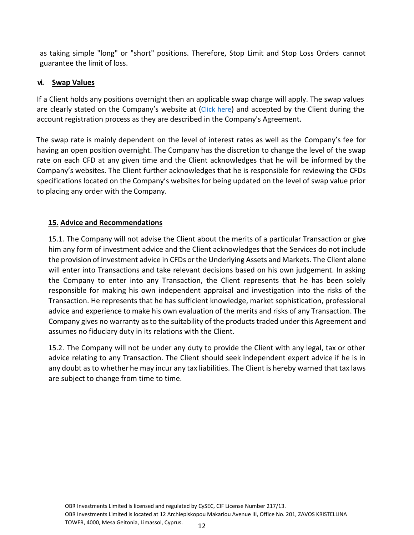as taking simple "long" or "short" positions. Therefore, Stop Limit and Stop Loss Orders cannot guarantee the limit of loss.

## **vi. Swap Values**

If a Client holds any positions overnight then an applicable swap charge will apply. The swap values are clearly stated on the Company's website at ([Click here](https://www.obrinvest.com/eu/terms-and-conditions/general-fees/)) and accepted by the Client during the account registration process as they are described in the Company's Agreement.

The swap rate is mainly dependent on the level of interest rates as well as the Company's fee for having an open position overnight. The Company has the discretion to change the level of the swap rate on each CFD at any given time and the Client acknowledges that he will be informed by the Company's websites. The Client further acknowledges that he is responsible for reviewing the CFDs specifications located on the Company's websites for being updated on the level of swap value prior to placing any order with the Company.

# **15. Advice and Recommendations**

15.1. The Company will not advise the Client about the merits of a particular Transaction or give him any form of investment advice and the Client acknowledges that the Services do not include the provision of investment advice in CFDs or the Underlying Assets and Markets. The Client alone will enter into Transactions and take relevant decisions based on his own judgement. In asking the Company to enter into any Transaction, the Client represents that he has been solely responsible for making his own independent appraisal and investigation into the risks of the Transaction. He represents that he has sufficient knowledge, market sophistication, professional advice and experience to make his own evaluation of the merits and risks of any Transaction. The Company gives no warranty as to the suitability of the products traded under this Agreement and assumes no fiduciary duty in its relations with the Client.

15.2. The Company will not be under any duty to provide the Client with any legal, tax or other advice relating to any Transaction. The Client should seek independent expert advice if he is in any doubt as to whether he may incur any tax liabilities. The Client is hereby warned that tax laws are subject to change from time to time.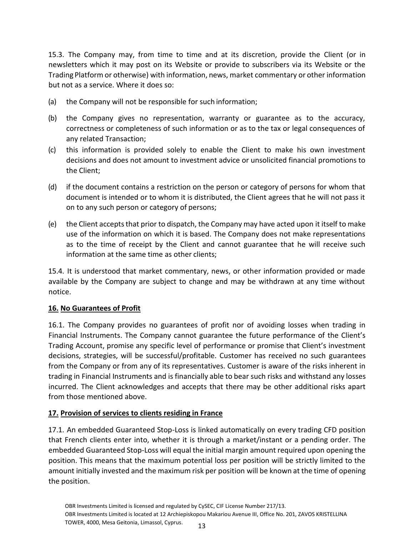15.3. The Company may, from time to time and at its discretion, provide the Client (or in newsletters which it may post on its Website or provide to subscribers via its Website or the Trading Platform or otherwise) with information, news, market commentary or other information but not as a service. Where it does so:

- (a) the Company will not be responsible for such information;
- (b) the Company gives no representation, warranty or guarantee as to the accuracy, correctness or completeness of such information or as to the tax or legal consequences of any related Transaction;
- (c) this information is provided solely to enable the Client to make his own investment decisions and does not amount to investment advice or unsolicited financial promotions to the Client;
- (d) if the document contains a restriction on the person or category of persons for whom that document is intended or to whom it is distributed, the Client agrees that he will not pass it on to any such person or category of persons;
- (e) the Client acceptsthat prior to dispatch, the Company may have acted upon it itself to make use of the information on which it is based. The Company does not make representations as to the time of receipt by the Client and cannot guarantee that he will receive such information at the same time as other clients;

15.4. It is understood that market commentary, news, or other information provided or made available by the Company are subject to change and may be withdrawn at any time without notice.

## **16. No Guarantees of Profit**

16.1. The Company provides no guarantees of profit nor of avoiding losses when trading in Financial Instruments. The Company cannot guarantee the future performance of the Client's Trading Account, promise any specific level of performance or promise that Client's investment decisions, strategies, will be successful/profitable. Customer has received no such guarantees from the Company or from any of its representatives. Customer is aware of the risks inherent in trading in Financial Instruments and is financially able to bear such risks and withstand any losses incurred. The Client acknowledges and accepts that there may be other additional risks apart from those mentioned above.

## **17. Provision of services to clients residing in France**

17.1. An embedded Guaranteed Stop-Loss is linked automatically on every trading CFD position that French clients enter into, whether it is through a market/instant or a pending order. The embedded Guaranteed Stop-Loss will equal the initial margin amount required upon opening the position. This means that the maximum potential loss per position will be strictly limited to the amount initially invested and the maximum risk per position will be known at the time of opening the position.